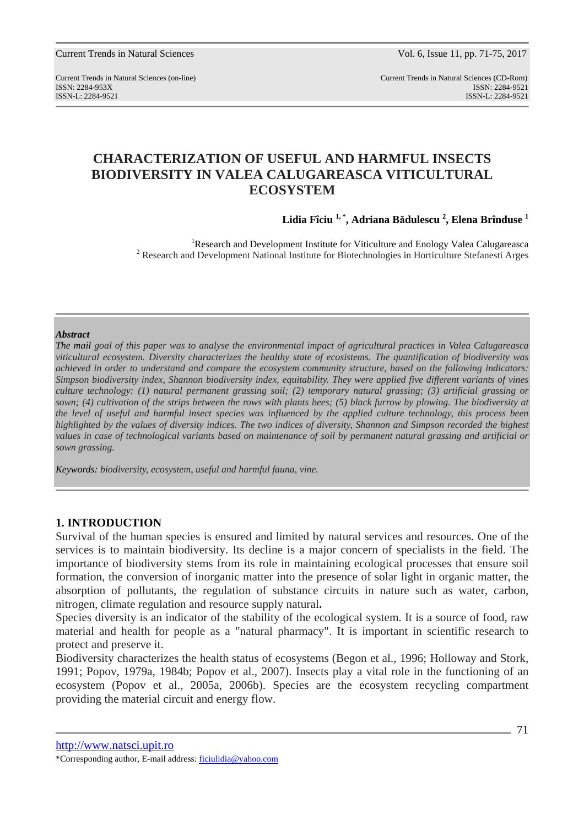Current Trends in Natural Sciences (on-line) Current Trends in Natural Sciences (CD-Rom) ISSN: 2284-953XISSN: 2284-9521 ISSN-L: 2284-9521 ISSN-L: 2284-9521

# **CHARACTERIZATION OF USEFUL AND HARMFUL INSECTS BIODIVERSITY IN VALEA CALUGAREASCA VITICULTURAL ECOSYSTEM**

**Lidia Fîciu 1, \*, Adriana Bădulescu <sup>2</sup> , Elena Brînduse <sup>1</sup>**

<sup>1</sup>Research and Development Institute for Viticulture and Enology Valea Calugareasca <sup>2</sup> Research and Development National Institute for Biotechnologies in Horticulture Stefanesti Arges

#### *Abstract*

*The mail goal of this paper was to analyse the environmental impact of agricultural practices in Valea Calugareasca viticultural ecosystem. Diversity characterizes the healthy state of ecosistems. The quantification of biodiversity was achieved in order to understand and compare the ecosystem community structure, based on the following indicators: Simpson biodiversity index, Shannon biodiversity index, equitability. They were applied five different variants of vines culture technology: (1) natural permanent grassing soil; (2) temporary natural grassing; (3) artificial grassing or sown; (4) cultivation of the strips between the rows with plants bees; (5) black furrow by plowing. The biodiversity at the level of useful and harmful insect species was influenced by the applied culture technology, this process been highlighted by the values of diversity indices. The two indices of diversity, Shannon and Simpson recorded the highest values in case of technological variants based on maintenance of soil by permanent natural grassing and artificial or sown grassing.*

*Keywords: biodiversity, ecosystem, useful and harmful fauna, vine.* 

## **1. INTRODUCTION**

Survival of the human species is ensured and limited by natural services and resources. One of the services is to maintain biodiversity. Its decline is a major concern of specialists in the field. The importance of biodiversity stems from its role in maintaining ecological processes that ensure soil formation, the conversion of inorganic matter into the presence of solar light in organic matter, the absorption of pollutants, the regulation of substance circuits in nature such as water, carbon, nitrogen, climate regulation and resource supply natural**.**

Species diversity is an indicator of the stability of the ecological system. It is a source of food, raw material and health for people as a "natural pharmacy". It is important in scientific research to protect and preserve it.

Biodiversity characterizes the health status of ecosystems (Begon et al., 1996; Holloway and Stork, 1991; Popov, 1979a, 1984b; Popov et al., 2007). Insects play a vital role in the functioning of an ecosystem (Popov et al., 2005a, 2006b). Species are the ecosystem recycling compartment providing the material circuit and energy flow.

http://www.natsci.upit.ro

<sup>\*</sup>Corresponding author, E-mail address: ficiulidia@yahoo.com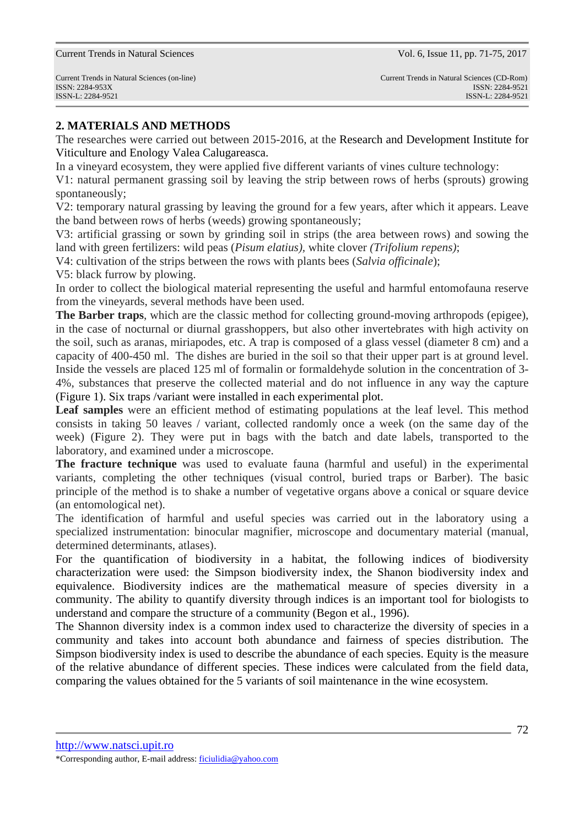## **2. MATERIALS AND METHODS**

The researches were carried out between 2015-2016, at the Research and Development Institute for Viticulture and Enology Valea Calugareasca.

In a vineyard ecosystem, they were applied five different variants of vines culture technology:

V1: natural permanent grassing soil by leaving the strip between rows of herbs (sprouts) growing spontaneously;

V2: temporary natural grassing by leaving the ground for a few years, after which it appears. Leave the band between rows of herbs (weeds) growing spontaneously;

V3: artificial grassing or sown by grinding soil in strips (the area between rows) and sowing the land with green fertilizers: wild peas (*Pisum elatius),* white clover *(Trifolium repens)*;

V4: cultivation of the strips between the rows with plants bees (*Salvia officinale*);

V5: black furrow by plowing.

In order to collect the biological material representing the useful and harmful entomofauna reserve from the vineyards, several methods have been used.

**The Barber traps**, which are the classic method for collecting ground-moving arthropods (epigee), in the case of nocturnal or diurnal grasshoppers, but also other invertebrates with high activity on the soil, such as aranas, miriapodes, etc. A trap is composed of a glass vessel (diameter 8 cm) and a capacity of 400-450 ml. The dishes are buried in the soil so that their upper part is at ground level. Inside the vessels are placed 125 ml of formalin or formaldehyde solution in the concentration of 3- 4%, substances that preserve the collected material and do not influence in any way the capture (Figure 1). Six traps /variant were installed in each experimental plot.

**Leaf samples** were an efficient method of estimating populations at the leaf level. This method consists in taking 50 leaves / variant, collected randomly once a week (on the same day of the week) (Figure 2). They were put in bags with the batch and date labels, transported to the laboratory, and examined under a microscope.

**The fracture technique** was used to evaluate fauna (harmful and useful) in the experimental variants, completing the other techniques (visual control, buried traps or Barber). The basic principle of the method is to shake a number of vegetative organs above a conical or square device (an entomological net).

The identification of harmful and useful species was carried out in the laboratory using a specialized instrumentation: binocular magnifier, microscope and documentary material (manual, determined determinants, atlases).

For the quantification of biodiversity in a habitat, the following indices of biodiversity characterization were used: the Simpson biodiversity index, the Shanon biodiversity index and equivalence. Biodiversity indices are the mathematical measure of species diversity in a community. The ability to quantify diversity through indices is an important tool for biologists to understand and compare the structure of a community (Begon et al., 1996).

The Shannon diversity index is a common index used to characterize the diversity of species in a community and takes into account both abundance and fairness of species distribution. The Simpson biodiversity index is used to describe the abundance of each species. Equity is the measure of the relative abundance of different species. These indices were calculated from the field data, comparing the values obtained for the 5 variants of soil maintenance in the wine ecosystem.

http://www.natsci.upit.ro

<sup>\*</sup>Corresponding author, E-mail address: ficiulidia@yahoo.com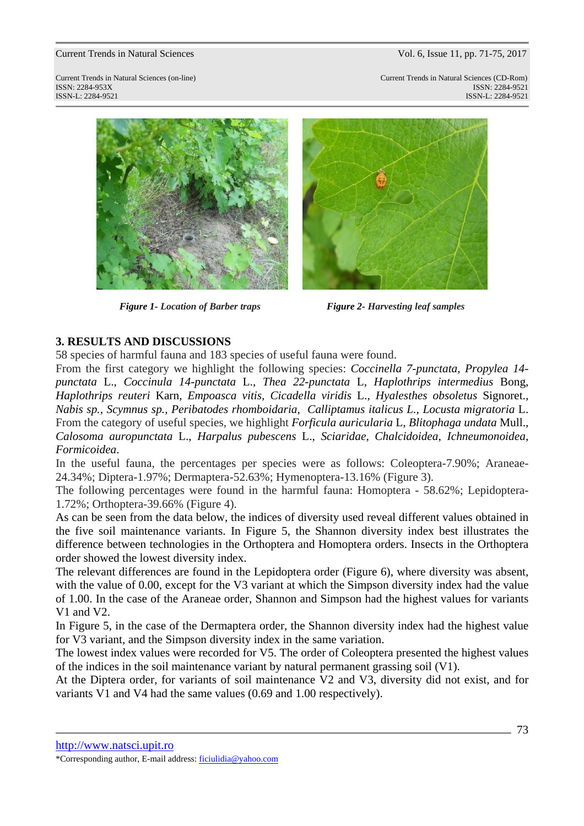Current Trends in Natural Sciences (on-line) Current Trends in Natural Sciences (CD-Rom) ISSN: 2284-953XISSN: 2284-9521 ISSN-L: 2284-9521 ISSN-L: 2284-9521



*Figure 1- Location of Barber traps* Figure 2- Harvesting leaf samples



## **3. RESULTS AND DISCUSSIONS**

58 species of harmful fauna and 183 species of useful fauna were found.

From the first category we highlight the following species: *Coccinella 7-punctata*, *Propylea 14 punctata* L., *Coccinula 14-punctata* L., *Thea 22-punctata* L, *Haplothrips intermedius* Bong, *Haplothrips reuteri* Karn, *Empoasca vitis, Cicadella viridis* L., *Hyalesthes obsoletus* Signoret., *Nabis sp., Scymnus sp., Peribatodes rhomboidaria, Calliptamus italicus L., Locusta migratoria* L. From the category of useful species, we highlight *Forficula auricularia* L, *Blitophaga undata* Mull., *Calosoma auropunctata* L., *Harpalus pubescens* L., *Sciaridae*, *Chalcidoidea*, *Ichneumonoidea*, *Formicoidea*.

In the useful fauna, the percentages per species were as follows: Coleoptera-7.90%; Araneae-24.34%; Diptera-1.97%; Dermaptera-52.63%; Hymenoptera-13.16% (Figure 3).

The following percentages were found in the harmful fauna: Homoptera - 58.62%; Lepidoptera-1.72%; Orthoptera-39.66% (Figure 4).

As can be seen from the data below, the indices of diversity used reveal different values obtained in the five soil maintenance variants. In Figure 5, the Shannon diversity index best illustrates the difference between technologies in the Orthoptera and Homoptera orders. Insects in the Orthoptera order showed the lowest diversity index.

The relevant differences are found in the Lepidoptera order (Figure 6), where diversity was absent, with the value of 0.00, except for the V3 variant at which the Simpson diversity index had the value of 1.00. In the case of the Araneae order, Shannon and Simpson had the highest values for variants V1 and V2.

In Figure 5, in the case of the Dermaptera order, the Shannon diversity index had the highest value for V3 variant, and the Simpson diversity index in the same variation.

The lowest index values were recorded for V5. The order of Coleoptera presented the highest values of the indices in the soil maintenance variant by natural permanent grassing soil (V1).

At the Diptera order, for variants of soil maintenance V2 and V3, diversity did not exist, and for variants V1 and V4 had the same values (0.69 and 1.00 respectively).

http://www.natsci.upit.ro

<sup>\*</sup>Corresponding author, E-mail address: ficiulidia@yahoo.com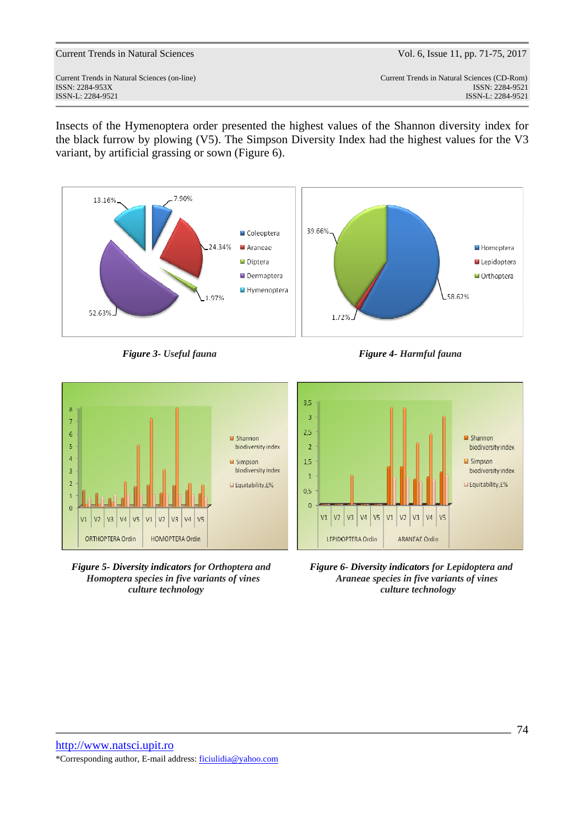Current Trends in Natural Sciences (on-line) Current Trends in Natural Sciences (CD-Rom) ISSN: 2284-953XISSN: 2284-9521 ISSN-L: 2284-9521 ISSN-L: 2284-9521

Insects of the Hymenoptera order presented the highest values of the Shannon diversity index for the black furrow by plowing (V5). The Simpson Diversity Index had the highest values for the V3 variant, by artificial grassing or sown (Figure 6).



**Figure 3- Useful fauna** Figure 4- Harmful fauna



*culture technology culture technology* 



*Figure 5- Diversity indicators for Orthoptera and Figure 6- Diversity indicators for Lepidoptera and Homoptera species in five variants of vines Araneae species in five variants of vines*